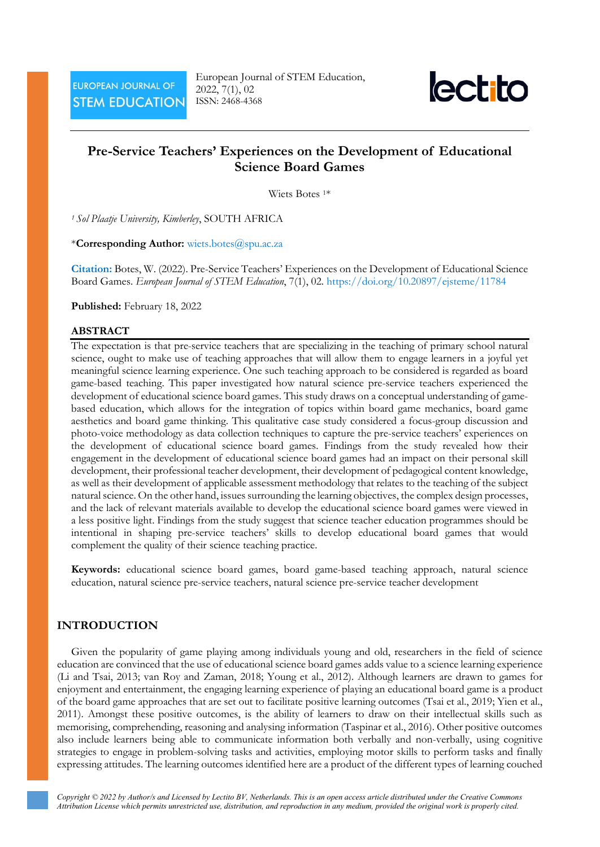

# **Pre-Service Teachers' Experiences on the Development of Educational Science Board Games**

Wiets Botes 1\*

*<sup>1</sup> Sol Plaatje University, Kimberley*, SOUTH AFRICA

\***Corresponding Author:** [wiets.botes@spu.ac.za](mailto:wiets.botes@spu.ac.za)

**Citation:** Botes, W. (2022). Pre-Service Teachers' Experiences on the Development of Educational Science Board Games. *European Journal of STEM Education*, 7(1), 02. <https://doi.org/10.20897/ejsteme/11784>

**Published:** February 18, 2022

#### **ABSTRACT**

The expectation is that pre-service teachers that are specializing in the teaching of primary school natural science, ought to make use of teaching approaches that will allow them to engage learners in a joyful yet meaningful science learning experience. One such teaching approach to be considered is regarded as board game-based teaching. This paper investigated how natural science pre-service teachers experienced the development of educational science board games. This study draws on a conceptual understanding of gamebased education, which allows for the integration of topics within board game mechanics, board game aesthetics and board game thinking. This qualitative case study considered a focus-group discussion and photo-voice methodology as data collection techniques to capture the pre-service teachers' experiences on the development of educational science board games. Findings from the study revealed how their engagement in the development of educational science board games had an impact on their personal skill development, their professional teacher development, their development of pedagogical content knowledge, as well as their development of applicable assessment methodology that relates to the teaching of the subject natural science. On the other hand, issues surrounding the learning objectives, the complex design processes, and the lack of relevant materials available to develop the educational science board games were viewed in a less positive light. Findings from the study suggest that science teacher education programmes should be intentional in shaping pre-service teachers' skills to develop educational board games that would complement the quality of their science teaching practice.

**Keywords:** educational science board games, board game-based teaching approach, natural science education, natural science pre-service teachers, natural science pre-service teacher development

#### **INTRODUCTION**

Given the popularity of game playing among individuals young and old, researchers in the field of science education are convinced that the use of educational science board games adds value to a science learning experience (Li and Tsai, 2013; van Roy and Zaman, 2018; Young et al., 2012). Although learners are drawn to games for enjoyment and entertainment, the engaging learning experience of playing an educational board game is a product of the board game approaches that are set out to facilitate positive learning outcomes (Tsai et al., 2019; Yien et al., 2011). Amongst these positive outcomes, is the ability of learners to draw on their intellectual skills such as memorising, comprehending, reasoning and analysing information (Taspinar et al., 2016). Other positive outcomes also include learners being able to communicate information both verbally and non-verbally, using cognitive strategies to engage in problem-solving tasks and activities, employing motor skills to perform tasks and finally expressing attitudes. The learning outcomes identified here are a product of the different types of learning couched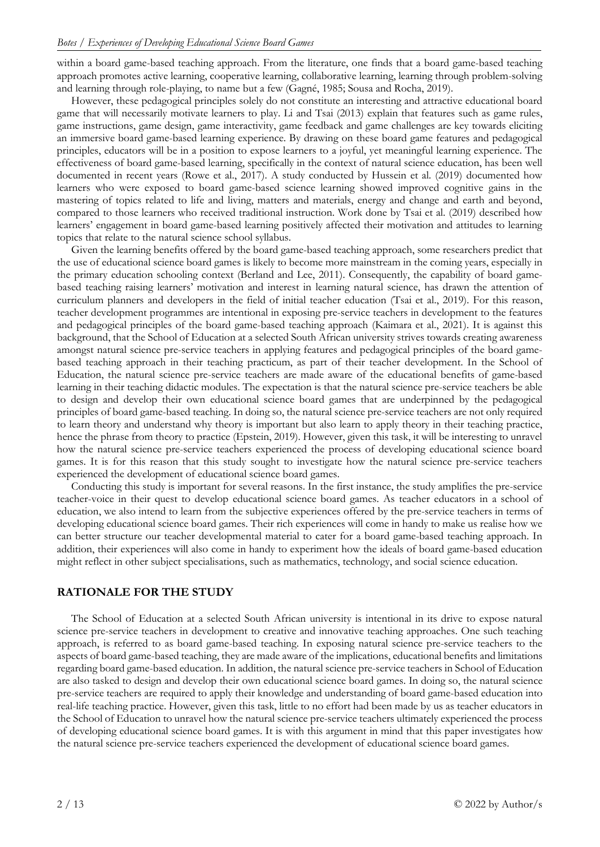within a board game-based teaching approach. From the literature, one finds that a board game-based teaching approach promotes active learning, cooperative learning, collaborative learning, learning through problem-solving and learning through role-playing, to name but a few (Gagné, 1985; Sousa and Rocha, 2019).

However, these pedagogical principles solely do not constitute an interesting and attractive educational board game that will necessarily motivate learners to play. Li and Tsai (2013) explain that features such as game rules, game instructions, game design, game interactivity, game feedback and game challenges are key towards eliciting an immersive board game-based learning experience. By drawing on these board game features and pedagogical principles, educators will be in a position to expose learners to a joyful, yet meaningful learning experience. The effectiveness of board game-based learning, specifically in the context of natural science education, has been well documented in recent years (Rowe et al., 2017). A study conducted by Hussein et al. (2019) documented how learners who were exposed to board game-based science learning showed improved cognitive gains in the mastering of topics related to life and living, matters and materials, energy and change and earth and beyond, compared to those learners who received traditional instruction. Work done by Tsai et al. (2019) described how learners' engagement in board game-based learning positively affected their motivation and attitudes to learning topics that relate to the natural science school syllabus.

Given the learning benefits offered by the board game-based teaching approach, some researchers predict that the use of educational science board games is likely to become more mainstream in the coming years, especially in the primary education schooling context (Berland and Lee, 2011). Consequently, the capability of board gamebased teaching raising learners' motivation and interest in learning natural science, has drawn the attention of curriculum planners and developers in the field of initial teacher education (Tsai et al., 2019). For this reason, teacher development programmes are intentional in exposing pre-service teachers in development to the features and pedagogical principles of the board game-based teaching approach (Kaimara et al., 2021). It is against this background, that the School of Education at a selected South African university strives towards creating awareness amongst natural science pre-service teachers in applying features and pedagogical principles of the board gamebased teaching approach in their teaching practicum, as part of their teacher development. In the School of Education, the natural science pre-service teachers are made aware of the educational benefits of game-based learning in their teaching didactic modules. The expectation is that the natural science pre-service teachers be able to design and develop their own educational science board games that are underpinned by the pedagogical principles of board game-based teaching. In doing so, the natural science pre-service teachers are not only required to learn theory and understand why theory is important but also learn to apply theory in their teaching practice, hence the phrase from theory to practice (Epstein, 2019). However, given this task, it will be interesting to unravel how the natural science pre-service teachers experienced the process of developing educational science board games. It is for this reason that this study sought to investigate how the natural science pre-service teachers experienced the development of educational science board games.

Conducting this study is important for several reasons. In the first instance, the study amplifies the pre-service teacher-voice in their quest to develop educational science board games. As teacher educators in a school of education, we also intend to learn from the subjective experiences offered by the pre-service teachers in terms of developing educational science board games. Their rich experiences will come in handy to make us realise how we can better structure our teacher developmental material to cater for a board game-based teaching approach. In addition, their experiences will also come in handy to experiment how the ideals of board game-based education might reflect in other subject specialisations, such as mathematics, technology, and social science education.

### **RATIONALE FOR THE STUDY**

The School of Education at a selected South African university is intentional in its drive to expose natural science pre-service teachers in development to creative and innovative teaching approaches. One such teaching approach, is referred to as board game-based teaching. In exposing natural science pre-service teachers to the aspects of board game-based teaching, they are made aware of the implications, educational benefits and limitations regarding board game-based education. In addition, the natural science pre-service teachers in School of Education are also tasked to design and develop their own educational science board games. In doing so, the natural science pre-service teachers are required to apply their knowledge and understanding of board game-based education into real-life teaching practice. However, given this task, little to no effort had been made by us as teacher educators in the School of Education to unravel how the natural science pre-service teachers ultimately experienced the process of developing educational science board games. It is with this argument in mind that this paper investigates how the natural science pre-service teachers experienced the development of educational science board games.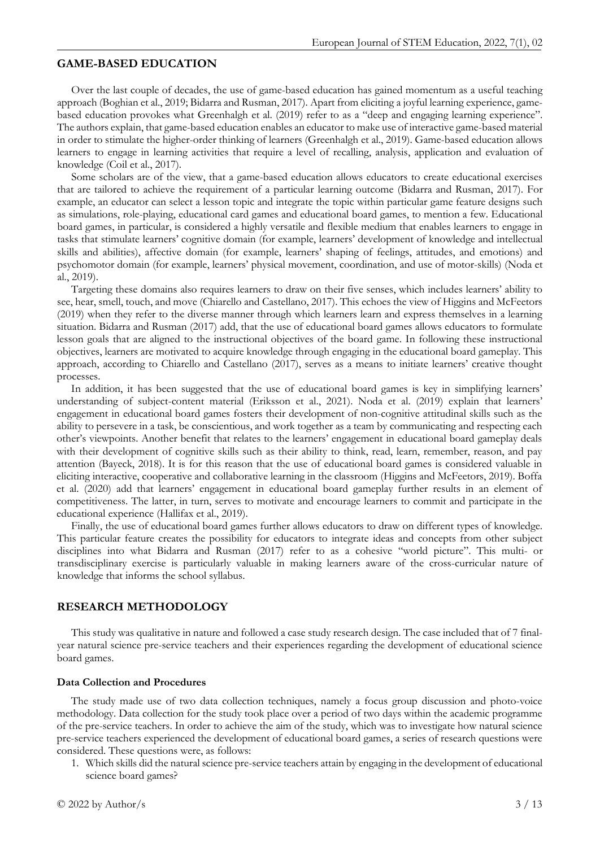### **GAME-BASED EDUCATION**

Over the last couple of decades, the use of game-based education has gained momentum as a useful teaching approach (Boghian et al., 2019; Bidarra and Rusman, 2017). Apart from eliciting a joyful learning experience, gamebased education provokes what Greenhalgh et al. (2019) refer to as a "deep and engaging learning experience". The authors explain, that game-based education enables an educator to make use of interactive game-based material in order to stimulate the higher-order thinking of learners (Greenhalgh et al., 2019). Game-based education allows learners to engage in learning activities that require a level of recalling, analysis, application and evaluation of knowledge (Coil et al., 2017).

Some scholars are of the view, that a game-based education allows educators to create educational exercises that are tailored to achieve the requirement of a particular learning outcome (Bidarra and Rusman, 2017). For example, an educator can select a lesson topic and integrate the topic within particular game feature designs such as simulations, role-playing, educational card games and educational board games, to mention a few. Educational board games, in particular, is considered a highly versatile and flexible medium that enables learners to engage in tasks that stimulate learners' cognitive domain (for example, learners' development of knowledge and intellectual skills and abilities), affective domain (for example, learners' shaping of feelings, attitudes, and emotions) and psychomotor domain (for example, learners' physical movement, coordination, and use of motor-skills) (Noda et al., 2019).

Targeting these domains also requires learners to draw on their five senses, which includes learners' ability to see, hear, smell, touch, and move (Chiarello and Castellano, 2017). This echoes the view of Higgins and McFeetors (2019) when they refer to the diverse manner through which learners learn and express themselves in a learning situation. Bidarra and Rusman (2017) add, that the use of educational board games allows educators to formulate lesson goals that are aligned to the instructional objectives of the board game. In following these instructional objectives, learners are motivated to acquire knowledge through engaging in the educational board gameplay. This approach, according to Chiarello and Castellano (2017), serves as a means to initiate learners' creative thought processes.

In addition, it has been suggested that the use of educational board games is key in simplifying learners' understanding of subject-content material (Eriksson et al., 2021). Noda et al. (2019) explain that learners' engagement in educational board games fosters their development of non-cognitive attitudinal skills such as the ability to persevere in a task, be conscientious, and work together as a team by communicating and respecting each other's viewpoints. Another benefit that relates to the learners' engagement in educational board gameplay deals with their development of cognitive skills such as their ability to think, read, learn, remember, reason, and pay attention (Bayeck, 2018). It is for this reason that the use of educational board games is considered valuable in eliciting interactive, cooperative and collaborative learning in the classroom (Higgins and McFeetors, 2019). Boffa et al. (2020) add that learners' engagement in educational board gameplay further results in an element of competitiveness. The latter, in turn, serves to motivate and encourage learners to commit and participate in the educational experience (Hallifax et al., 2019).

Finally, the use of educational board games further allows educators to draw on different types of knowledge. This particular feature creates the possibility for educators to integrate ideas and concepts from other subject disciplines into what Bidarra and Rusman (2017) refer to as a cohesive "world picture". This multi- or transdisciplinary exercise is particularly valuable in making learners aware of the cross-curricular nature of knowledge that informs the school syllabus.

### **RESEARCH METHODOLOGY**

This study was qualitative in nature and followed a case study research design. The case included that of 7 finalyear natural science pre-service teachers and their experiences regarding the development of educational science board games.

#### **Data Collection and Procedures**

The study made use of two data collection techniques, namely a focus group discussion and photo-voice methodology. Data collection for the study took place over a period of two days within the academic programme of the pre-service teachers. In order to achieve the aim of the study, which was to investigate how natural science pre-service teachers experienced the development of educational board games, a series of research questions were considered. These questions were, as follows:

1. Which skills did the natural science pre-service teachers attain by engaging in the development of educational science board games?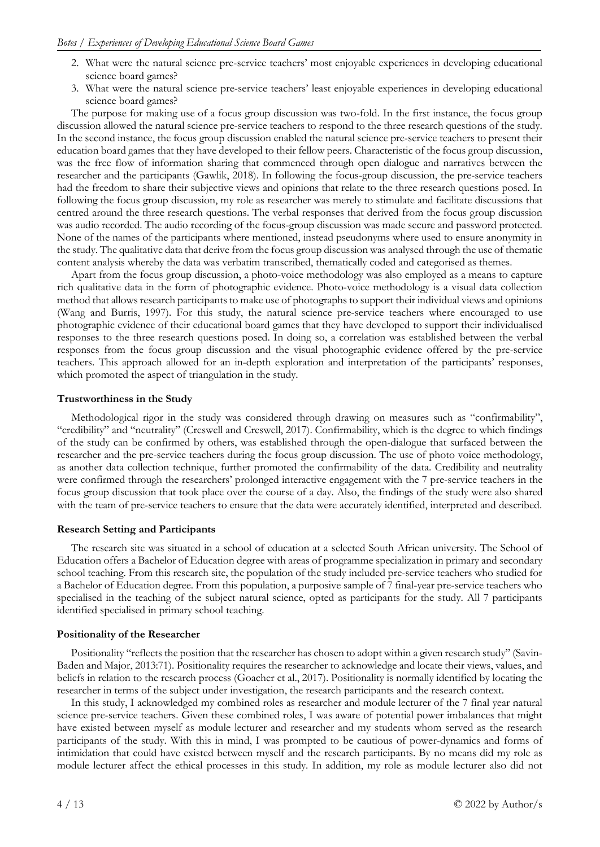- 2. What were the natural science pre-service teachers' most enjoyable experiences in developing educational science board games?
- 3. What were the natural science pre-service teachers' least enjoyable experiences in developing educational science board games?

The purpose for making use of a focus group discussion was two-fold. In the first instance, the focus group discussion allowed the natural science pre-service teachers to respond to the three research questions of the study. In the second instance, the focus group discussion enabled the natural science pre-service teachers to present their education board games that they have developed to their fellow peers. Characteristic of the focus group discussion, was the free flow of information sharing that commenced through open dialogue and narratives between the researcher and the participants (Gawlik, 2018). In following the focus-group discussion, the pre-service teachers had the freedom to share their subjective views and opinions that relate to the three research questions posed. In following the focus group discussion, my role as researcher was merely to stimulate and facilitate discussions that centred around the three research questions. The verbal responses that derived from the focus group discussion was audio recorded. The audio recording of the focus-group discussion was made secure and password protected. None of the names of the participants where mentioned, instead pseudonyms where used to ensure anonymity in the study. The qualitative data that derive from the focus group discussion was analysed through the use of thematic content analysis whereby the data was verbatim transcribed, thematically coded and categorised as themes.

Apart from the focus group discussion, a photo-voice methodology was also employed as a means to capture rich qualitative data in the form of photographic evidence. Photo-voice methodology is a visual data collection method that allows research participants to make use of photographs to support their individual views and opinions (Wang and Burris, 1997). For this study, the natural science pre-service teachers where encouraged to use photographic evidence of their educational board games that they have developed to support their individualised responses to the three research questions posed. In doing so, a correlation was established between the verbal responses from the focus group discussion and the visual photographic evidence offered by the pre-service teachers. This approach allowed for an in-depth exploration and interpretation of the participants' responses, which promoted the aspect of triangulation in the study.

#### **Trustworthiness in the Study**

Methodological rigor in the study was considered through drawing on measures such as "confirmability", "credibility" and "neutrality" (Creswell and Creswell, 2017). Confirmability, which is the degree to which findings of the study can be confirmed by others, was established through the open-dialogue that surfaced between the researcher and the pre-service teachers during the focus group discussion. The use of photo voice methodology, as another data collection technique, further promoted the confirmability of the data. Credibility and neutrality were confirmed through the researchers' prolonged interactive engagement with the 7 pre-service teachers in the focus group discussion that took place over the course of a day. Also, the findings of the study were also shared with the team of pre-service teachers to ensure that the data were accurately identified, interpreted and described.

#### **Research Setting and Participants**

The research site was situated in a school of education at a selected South African university. The School of Education offers a Bachelor of Education degree with areas of programme specialization in primary and secondary school teaching. From this research site, the population of the study included pre-service teachers who studied for a Bachelor of Education degree. From this population, a purposive sample of 7 final-year pre-service teachers who specialised in the teaching of the subject natural science, opted as participants for the study. All 7 participants identified specialised in primary school teaching.

#### **Positionality of the Researcher**

Positionality "reflects the position that the researcher has chosen to adopt within a given research study" (Savin-Baden and Major, 2013:71). Positionality requires the researcher to acknowledge and locate their views, values, and beliefs in relation to the research process (Goacher et al., 2017). Positionality is normally identified by locating the researcher in terms of the subject under investigation, the research participants and the research context.

In this study, I acknowledged my combined roles as researcher and module lecturer of the 7 final year natural science pre-service teachers. Given these combined roles, I was aware of potential power imbalances that might have existed between myself as module lecturer and researcher and my students whom served as the research participants of the study. With this in mind, I was prompted to be cautious of power-dynamics and forms of intimidation that could have existed between myself and the research participants. By no means did my role as module lecturer affect the ethical processes in this study. In addition, my role as module lecturer also did not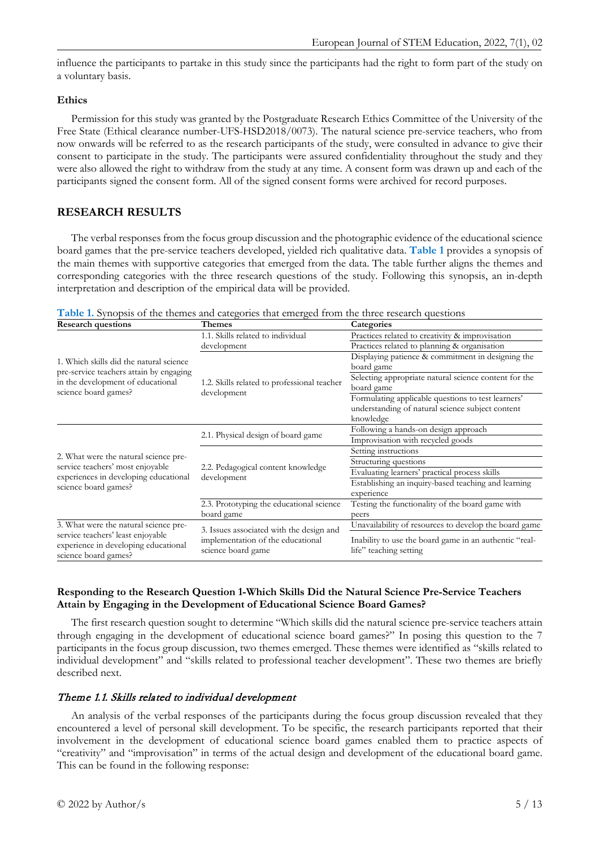influence the participants to partake in this study since the participants had the right to form part of the study on a voluntary basis.

### **Ethics**

Permission for this study was granted by the Postgraduate Research Ethics Committee of the University of the Free State (Ethical clearance number-UFS-HSD2018/0073). The natural science pre-service teachers, who from now onwards will be referred to as the research participants of the study, were consulted in advance to give their consent to participate in the study. The participants were assured confidentiality throughout the study and they were also allowed the right to withdraw from the study at any time. A consent form was drawn up and each of the participants signed the consent form. All of the signed consent forms were archived for record purposes.

# **RESEARCH RESULTS**

The verbal responses from the focus group discussion and the photographic evidence of the educational science board games that the pre-service teachers developed, yielded rich qualitative data. **Table 1** provides a synopsis of the main themes with supportive categories that emerged from the data. The table further aligns the themes and corresponding categories with the three research questions of the study. Following this synopsis, an in-depth interpretation and description of the empirical data will be provided.

| Table 1. Synopsis of the themes and categories that emerged from the three research questions |  |  |  |  |  |  |  |
|-----------------------------------------------------------------------------------------------|--|--|--|--|--|--|--|
|-----------------------------------------------------------------------------------------------|--|--|--|--|--|--|--|

| <b>Research questions</b>                                                                         | Themes                                                  | Categories                                                                       |  |  |  |
|---------------------------------------------------------------------------------------------------|---------------------------------------------------------|----------------------------------------------------------------------------------|--|--|--|
|                                                                                                   | 1.1. Skills related to individual                       | Practices related to creativity & improvisation                                  |  |  |  |
|                                                                                                   | development                                             | Practices related to planning & organisation                                     |  |  |  |
| 1. Which skills did the natural science                                                           |                                                         | Displaying patience & commitment in designing the                                |  |  |  |
| pre-service teachers attain by engaging                                                           |                                                         | board game                                                                       |  |  |  |
| in the development of educational                                                                 | 1.2. Skills related to professional teacher             | Selecting appropriate natural science content for the                            |  |  |  |
| science board games?                                                                              | development                                             | board game                                                                       |  |  |  |
|                                                                                                   |                                                         | Formulating applicable questions to test learners'                               |  |  |  |
|                                                                                                   |                                                         | understanding of natural science subject content                                 |  |  |  |
|                                                                                                   |                                                         | knowledge                                                                        |  |  |  |
|                                                                                                   | 2.1. Physical design of board game                      | Following a hands-on design approach                                             |  |  |  |
|                                                                                                   |                                                         | Improvisation with recycled goods                                                |  |  |  |
| 2. What were the natural science pre-                                                             |                                                         | Setting instructions                                                             |  |  |  |
| service teachers' most enjoyable                                                                  | 2.2. Pedagogical content knowledge                      | Structuring questions                                                            |  |  |  |
| experiences in developing educational                                                             | development                                             | Evaluating learners' practical process skills                                    |  |  |  |
| science board games?                                                                              |                                                         | Establishing an inquiry-based teaching and learning                              |  |  |  |
|                                                                                                   |                                                         | experience                                                                       |  |  |  |
|                                                                                                   | 2.3. Prototyping the educational science                | Testing the functionality of the board game with                                 |  |  |  |
|                                                                                                   | board game                                              | peers                                                                            |  |  |  |
| 3. What were the natural science pre-                                                             | 3. Issues associated with the design and                | Unavailability of resources to develop the board game                            |  |  |  |
| service teachers' least enjoyable<br>experience in developing educational<br>science board games? | implementation of the educational<br>science board game | Inability to use the board game in an authentic "real-<br>life" teaching setting |  |  |  |

### **Responding to the Research Question 1-Which Skills Did the Natural Science Pre-Service Teachers Attain by Engaging in the Development of Educational Science Board Games?**

The first research question sought to determine "Which skills did the natural science pre-service teachers attain through engaging in the development of educational science board games?" In posing this question to the 7 participants in the focus group discussion, two themes emerged. These themes were identified as "skills related to individual development" and "skills related to professional teacher development". These two themes are briefly described next.

# Theme 1.1. Skills related to individual development

An analysis of the verbal responses of the participants during the focus group discussion revealed that they encountered a level of personal skill development. To be specific, the research participants reported that their involvement in the development of educational science board games enabled them to practice aspects of "creativity" and "improvisation" in terms of the actual design and development of the educational board game. This can be found in the following response: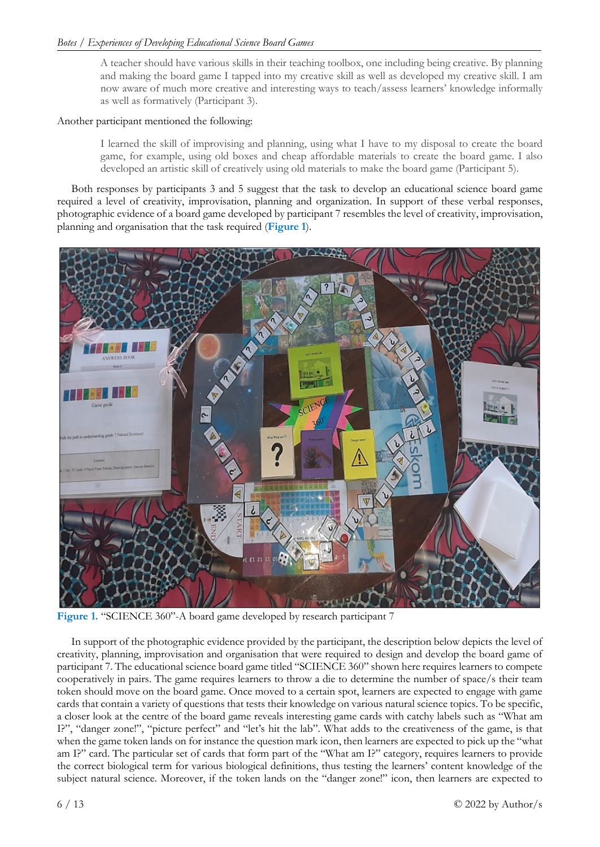A teacher should have various skills in their teaching toolbox, one including being creative. By planning and making the board game I tapped into my creative skill as well as developed my creative skill. I am now aware of much more creative and interesting ways to teach/assess learners' knowledge informally as well as formatively (Participant 3).

### Another participant mentioned the following:

I learned the skill of improvising and planning, using what I have to my disposal to create the board game, for example, using old boxes and cheap affordable materials to create the board game. I also developed an artistic skill of creatively using old materials to make the board game (Participant 5).

Both responses by participants 3 and 5 suggest that the task to develop an educational science board game required a level of creativity, improvisation, planning and organization. In support of these verbal responses, photographic evidence of a board game developed by participant 7 resembles the level of creativity, improvisation, planning and organisation that the task required (**Figure 1**).



**Figure 1.** "SCIENCE 360"-A board game developed by research participant 7

In support of the photographic evidence provided by the participant, the description below depicts the level of creativity, planning, improvisation and organisation that were required to design and develop the board game of participant 7. The educational science board game titled "SCIENCE 360" shown here requires learners to compete cooperatively in pairs. The game requires learners to throw a die to determine the number of space/s their team token should move on the board game. Once moved to a certain spot, learners are expected to engage with game cards that contain a variety of questions that tests their knowledge on various natural science topics. To be specific, a closer look at the centre of the board game reveals interesting game cards with catchy labels such as "What am I?", "danger zone!", "picture perfect" and "let's hit the lab". What adds to the creativeness of the game, is that when the game token lands on for instance the question mark icon, then learners are expected to pick up the "what am I?" card. The particular set of cards that form part of the "What am I?" category, requires learners to provide the correct biological term for various biological definitions, thus testing the learners' content knowledge of the subject natural science. Moreover, if the token lands on the "danger zone!" icon, then learners are expected to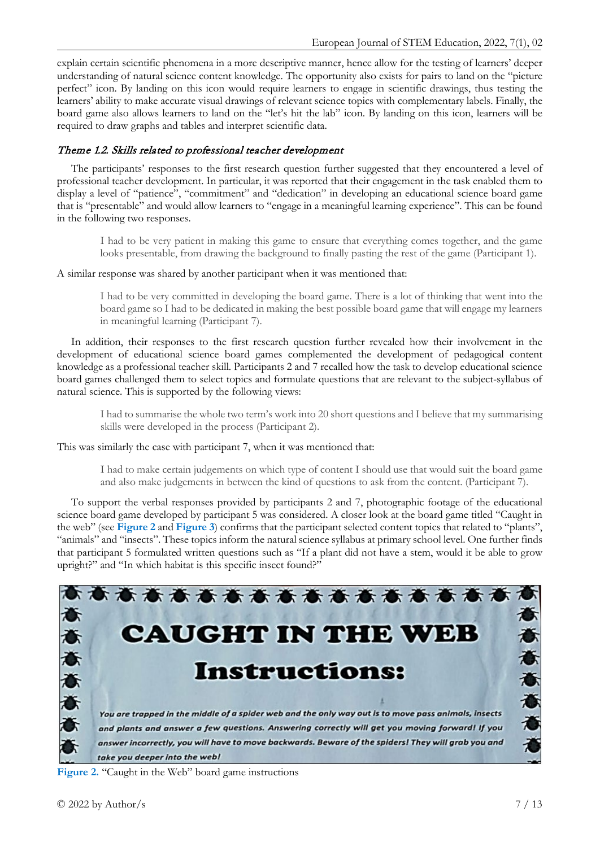explain certain scientific phenomena in a more descriptive manner, hence allow for the testing of learners' deeper understanding of natural science content knowledge. The opportunity also exists for pairs to land on the "picture perfect" icon. By landing on this icon would require learners to engage in scientific drawings, thus testing the learners' ability to make accurate visual drawings of relevant science topics with complementary labels. Finally, the board game also allows learners to land on the "let's hit the lab" icon. By landing on this icon, learners will be required to draw graphs and tables and interpret scientific data.

# Theme 1.2. Skills related to professional teacher development

The participants' responses to the first research question further suggested that they encountered a level of professional teacher development. In particular, it was reported that their engagement in the task enabled them to display a level of "patience", "commitment" and "dedication" in developing an educational science board game that is "presentable" and would allow learners to "engage in a meaningful learning experience". This can be found in the following two responses.

I had to be very patient in making this game to ensure that everything comes together, and the game looks presentable, from drawing the background to finally pasting the rest of the game (Participant 1).

A similar response was shared by another participant when it was mentioned that:

I had to be very committed in developing the board game. There is a lot of thinking that went into the board game so I had to be dedicated in making the best possible board game that will engage my learners in meaningful learning (Participant 7).

In addition, their responses to the first research question further revealed how their involvement in the development of educational science board games complemented the development of pedagogical content knowledge as a professional teacher skill. Participants 2 and 7 recalled how the task to develop educational science board games challenged them to select topics and formulate questions that are relevant to the subject-syllabus of natural science. This is supported by the following views:

I had to summarise the whole two term's work into 20 short questions and I believe that my summarising skills were developed in the process (Participant 2).

This was similarly the case with participant 7, when it was mentioned that:

I had to make certain judgements on which type of content I should use that would suit the board game and also make judgements in between the kind of questions to ask from the content. (Participant 7).

To support the verbal responses provided by participants 2 and 7, photographic footage of the educational science board game developed by participant 5 was considered. A closer look at the board game titled "Caught in the web" (see **Figure 2** and **Figure 3**) confirms that the participant selected content topics that related to "plants", "animals" and "insects". These topics inform the natural science syllabus at primary school level. One further finds that participant 5 formulated written questions such as "If a plant did not have a stem, would it be able to grow upright?" and "In which habitat is this specific insect found?"



**Figure 2.** "Caught in the Web" board game instructions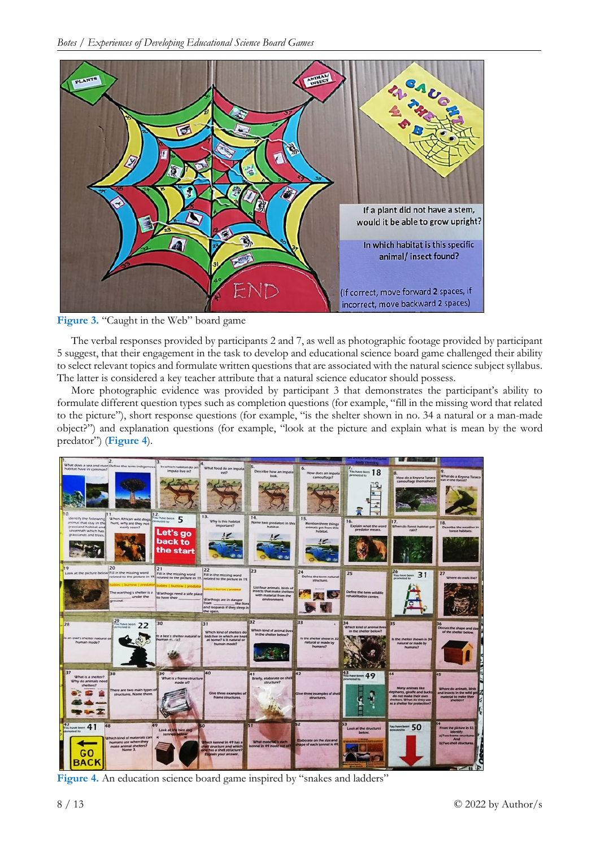



The verbal responses provided by participants 2 and 7, as well as photographic footage provided by participant 5 suggest, that their engagement in the task to develop and educational science board game challenged their ability to select relevant topics and formulate written questions that are associated with the natural science subject syllabus. The latter is considered a key teacher attribute that a natural science educator should possess.

More photographic evidence was provided by participant 3 that demonstrates the participant's ability to formulate different question types such as completion questions (for example, "fill in the missing word that related to the picture"), short response questions (for example, "is the shelter shown in no. 34 a natural or a man-made object?") and explanation questions (for example, "look at the picture and explain what is mean by the word predator") (**Figure 4**).

| 12.                                                                                                                                                                                                                                               |                                                                       |                                                                                                                                                             |                                                                                                           |                                                                  |                                                           |                                                                                                                                                |                                                                                                                                |
|---------------------------------------------------------------------------------------------------------------------------------------------------------------------------------------------------------------------------------------------------|-----------------------------------------------------------------------|-------------------------------------------------------------------------------------------------------------------------------------------------------------|-----------------------------------------------------------------------------------------------------------|------------------------------------------------------------------|-----------------------------------------------------------|------------------------------------------------------------------------------------------------------------------------------------------------|--------------------------------------------------------------------------------------------------------------------------------|
| What does a sea and river Define the term indigenous In which habitat do an What food do an impala<br>stammop ni sveri tetrider<br>12.<br>identify the following<br>When African wild dogs                                                        | impala live in?<br>N have been 5                                      | eat?<br>13.<br>Why is this habitat                                                                                                                          | 15.<br>Describe how an impala<br>look.<br>14.                                                             | 6.<br>How does an impala<br>camouflage?<br>15.                   | Ω.<br>You have been 18<br>promoted to<br>16.              | How do a Knysna Turaco<br>camouflage themselves?                                                                                               | What do a Knysna Turaco<br>eat in the forest?                                                                                  |
| animal that stay in the<br>hunt, why are they not<br>grassiand habitat and<br>easily seen?<br>savannah which has<br>grassiands and trees.<br>20                                                                                                   | Let's go<br>back to<br>the start<br>21                                | important?                                                                                                                                                  | Name two predators in this<br>habitat.                                                                    | Mention three things<br>animals get from this<br>Publicat.       | predator means.                                           | 17.<br>Explain what the word When do forest habitat get<br>rain?                                                                               | Describe the weather in<br>forest habitats.                                                                                    |
| Look at the picture below Fill in the missing word<br>related to the picture in 19 <sub>1</sub> related to the picture in 19. related to the picture in 19.<br>The warthog's shelter is a largarthogs need a safe place<br>under the<br>procured. | Fill in the missing word<br>ibles   burrow   predato<br>to have their | 22<br>Fill in the missing word<br><b>Literator Epredator</b><br>Warthogs are in danger<br>from:<br>like lions<br>and leopards if they sleep in<br>the open. | 23<br>List four animals, birds of<br>insects that make shelters<br>with material from the<br>environment. | 24<br>Define the term natural<br>structure.                      | 25<br>Define the term wildlife<br>rehabilitation centre.  | 26<br>You have been 31<br>promoted to:                                                                                                         | 27<br>Where do owls live?                                                                                                      |
| $\frac{29}{22}$ have been 22<br>28<br>Is an own shelter natural off<br>human made?                                                                                                                                                                | 30<br>Its a bee's shelter natural or<br>uman m. /27                   | 31<br>Which kind of shelters do<br>bids live in which are kept<br>at home? Is it natural or<br>human made?                                                  | 32<br>Which kind of animal lives<br>In the shelter below?                                                 | 33<br>Is the shelter show in 32<br>natural or made by<br>humans? | 34<br>Which kind of animal lives<br>in the shelter below? | 35<br>Is the shelter shown in 34<br>natural or made by<br>humano7                                                                              | Ducus the shape and size<br>of the shelter below.                                                                              |
| 37<br>38<br>What is a shelter?<br>Why do animals need<br>shelters?<br>There are two main types of<br>structures. Name them.                                                                                                                       | 39<br>What is a frame structure<br>made of?                           | 40<br>Give three examples of<br>frame structures.                                                                                                           | Briefly, elaborate on shell<br>structure?                                                                 | 42<br>Give three examples of shell<br><b>ISTUCTURES</b>          | $\frac{43}{700}$ here been 49<br>promoted to              | 44<br>Many animals like<br>elephants, giraffe and bucks<br>do not make their own<br>shelters. What do they use<br>as a shelter for protection? | 45<br>Where do animals, birds<br>and insects in the wild ge<br>material to make their<br>shelters?                             |
| 47<br>49<br>Which kind of materials can<br>humans use when they<br>make animal shelters?<br>Name 3.<br>GC<br>BAC                                                                                                                                  | Look at the two dog<br>keevwali                                       | <b>Thich kennel in 49 has a</b><br><b>Pett</b> atructure and which<br>ine has a shell structure?<br>Explain your answer.                                    | зт<br>What material is each<br>kennel in 49 made out of?                                                  | Elaborate on the size and<br>shape of each kennel in 49          | Look at the structures<br>below.                          | You have been $50$                                                                                                                             | From the picture in S3.<br><b>Identify:</b><br>a) Two frame structures<br>And<br>b) Two shell structures.<br>$\sim$ 1 $\sigma$ |

**Figure 4.** An education science board game inspired by "snakes and ladders"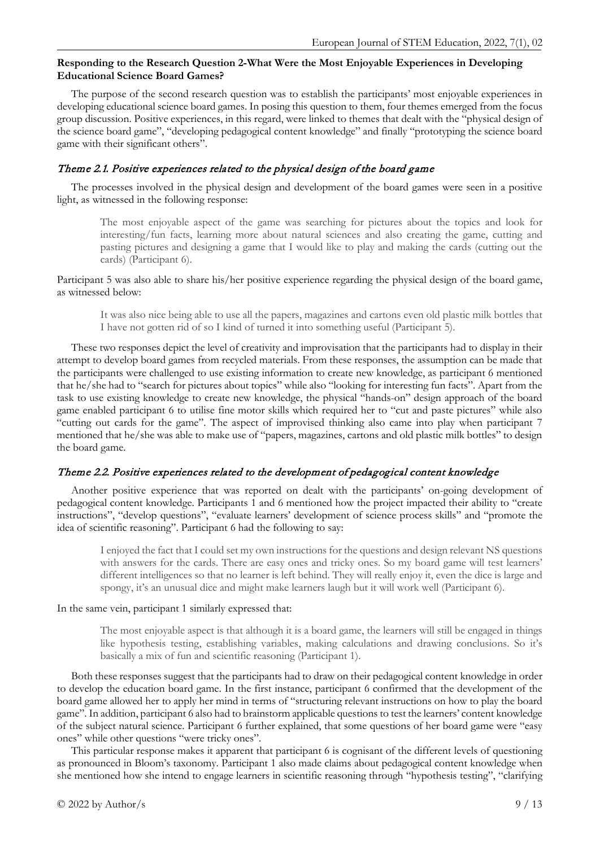## **Responding to the Research Question 2-What Were the Most Enjoyable Experiences in Developing Educational Science Board Games?**

The purpose of the second research question was to establish the participants' most enjoyable experiences in developing educational science board games. In posing this question to them, four themes emerged from the focus group discussion. Positive experiences, in this regard, were linked to themes that dealt with the "physical design of the science board game", "developing pedagogical content knowledge" and finally "prototyping the science board game with their significant others".

# Theme 2.1. Positive experiences related to the physical design of the board game

The processes involved in the physical design and development of the board games were seen in a positive light, as witnessed in the following response:

The most enjoyable aspect of the game was searching for pictures about the topics and look for interesting/fun facts, learning more about natural sciences and also creating the game, cutting and pasting pictures and designing a game that I would like to play and making the cards (cutting out the cards) (Participant 6).

Participant 5 was also able to share his/her positive experience regarding the physical design of the board game, as witnessed below:

It was also nice being able to use all the papers, magazines and cartons even old plastic milk bottles that I have not gotten rid of so I kind of turned it into something useful (Participant 5).

These two responses depict the level of creativity and improvisation that the participants had to display in their attempt to develop board games from recycled materials. From these responses, the assumption can be made that the participants were challenged to use existing information to create new knowledge, as participant 6 mentioned that he/she had to "search for pictures about topics" while also "looking for interesting fun facts". Apart from the task to use existing knowledge to create new knowledge, the physical "hands-on" design approach of the board game enabled participant 6 to utilise fine motor skills which required her to "cut and paste pictures" while also "cutting out cards for the game". The aspect of improvised thinking also came into play when participant 7 mentioned that he/she was able to make use of "papers, magazines, cartons and old plastic milk bottles" to design the board game.

# Theme 2.2. Positive experiences related to the development of pedagogical content knowledge

Another positive experience that was reported on dealt with the participants' on-going development of pedagogical content knowledge. Participants 1 and 6 mentioned how the project impacted their ability to "create instructions", "develop questions", "evaluate learners' development of science process skills" and "promote the idea of scientific reasoning". Participant 6 had the following to say:

I enjoyed the fact that I could set my own instructions for the questions and design relevant NS questions with answers for the cards. There are easy ones and tricky ones. So my board game will test learners' different intelligences so that no learner is left behind. They will really enjoy it, even the dice is large and spongy, it's an unusual dice and might make learners laugh but it will work well (Participant 6).

In the same vein, participant 1 similarly expressed that:

The most enjoyable aspect is that although it is a board game, the learners will still be engaged in things like hypothesis testing, establishing variables, making calculations and drawing conclusions. So it's basically a mix of fun and scientific reasoning (Participant 1).

Both these responses suggest that the participants had to draw on their pedagogical content knowledge in order to develop the education board game. In the first instance, participant 6 confirmed that the development of the board game allowed her to apply her mind in terms of "structuring relevant instructions on how to play the board game". In addition, participant 6 also had to brainstorm applicable questions to test the learners' content knowledge of the subject natural science. Participant 6 further explained, that some questions of her board game were "easy ones" while other questions "were tricky ones".

This particular response makes it apparent that participant 6 is cognisant of the different levels of questioning as pronounced in Bloom's taxonomy. Participant 1 also made claims about pedagogical content knowledge when she mentioned how she intend to engage learners in scientific reasoning through "hypothesis testing", "clarifying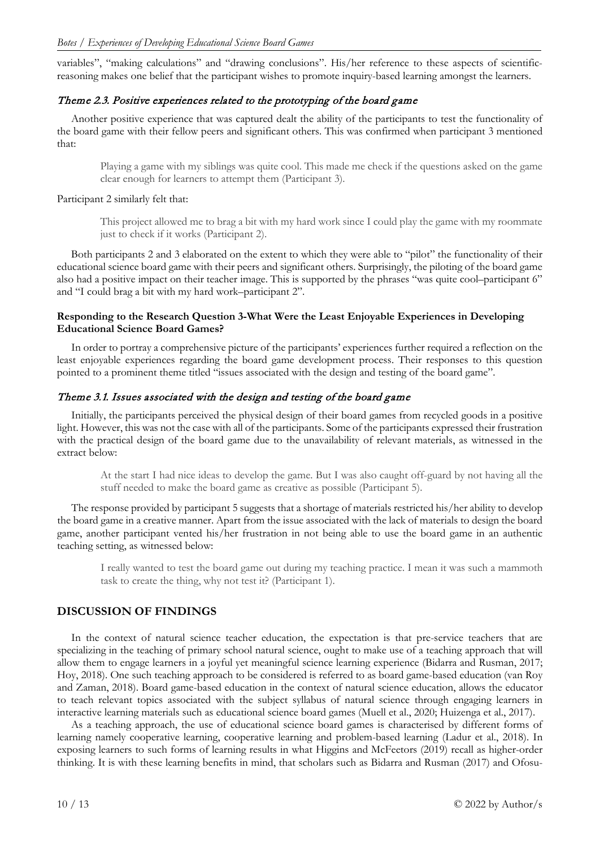variables", "making calculations" and "drawing conclusions". His/her reference to these aspects of scientificreasoning makes one belief that the participant wishes to promote inquiry-based learning amongst the learners.

## Theme 2.3. Positive experiences related to the prototyping of the board game

Another positive experience that was captured dealt the ability of the participants to test the functionality of the board game with their fellow peers and significant others. This was confirmed when participant 3 mentioned that:

Playing a game with my siblings was quite cool. This made me check if the questions asked on the game clear enough for learners to attempt them (Participant 3).

### Participant 2 similarly felt that:

This project allowed me to brag a bit with my hard work since I could play the game with my roommate just to check if it works (Participant 2).

Both participants 2 and 3 elaborated on the extent to which they were able to "pilot" the functionality of their educational science board game with their peers and significant others. Surprisingly, the piloting of the board game also had a positive impact on their teacher image. This is supported by the phrases "was quite cool–participant 6" and "I could brag a bit with my hard work–participant 2".

### **Responding to the Research Question 3-What Were the Least Enjoyable Experiences in Developing Educational Science Board Games?**

In order to portray a comprehensive picture of the participants' experiences further required a reflection on the least enjoyable experiences regarding the board game development process. Their responses to this question pointed to a prominent theme titled "issues associated with the design and testing of the board game".

### Theme 3.1. Issues associated with the design and testing of the board game

Initially, the participants perceived the physical design of their board games from recycled goods in a positive light. However, this was not the case with all of the participants. Some of the participants expressed their frustration with the practical design of the board game due to the unavailability of relevant materials, as witnessed in the extract below:

At the start I had nice ideas to develop the game. But I was also caught off-guard by not having all the stuff needed to make the board game as creative as possible (Participant 5).

The response provided by participant 5 suggests that a shortage of materials restricted his/her ability to develop the board game in a creative manner. Apart from the issue associated with the lack of materials to design the board game, another participant vented his/her frustration in not being able to use the board game in an authentic teaching setting, as witnessed below:

I really wanted to test the board game out during my teaching practice. I mean it was such a mammoth task to create the thing, why not test it? (Participant 1).

# **DISCUSSION OF FINDINGS**

In the context of natural science teacher education, the expectation is that pre-service teachers that are specializing in the teaching of primary school natural science, ought to make use of a teaching approach that will allow them to engage learners in a joyful yet meaningful science learning experience (Bidarra and Rusman, 2017; Hoy, 2018). One such teaching approach to be considered is referred to as board game-based education (van Roy and Zaman, 2018). Board game-based education in the context of natural science education, allows the educator to teach relevant topics associated with the subject syllabus of natural science through engaging learners in interactive learning materials such as educational science board games (Muell et al., 2020; Huizenga et al., 2017).

As a teaching approach, the use of educational science board games is characterised by different forms of learning namely cooperative learning, cooperative learning and problem-based learning (Ladur et al., 2018). In exposing learners to such forms of learning results in what Higgins and McFeetors (2019) recall as higher-order thinking. It is with these learning benefits in mind, that scholars such as Bidarra and Rusman (2017) and Ofosu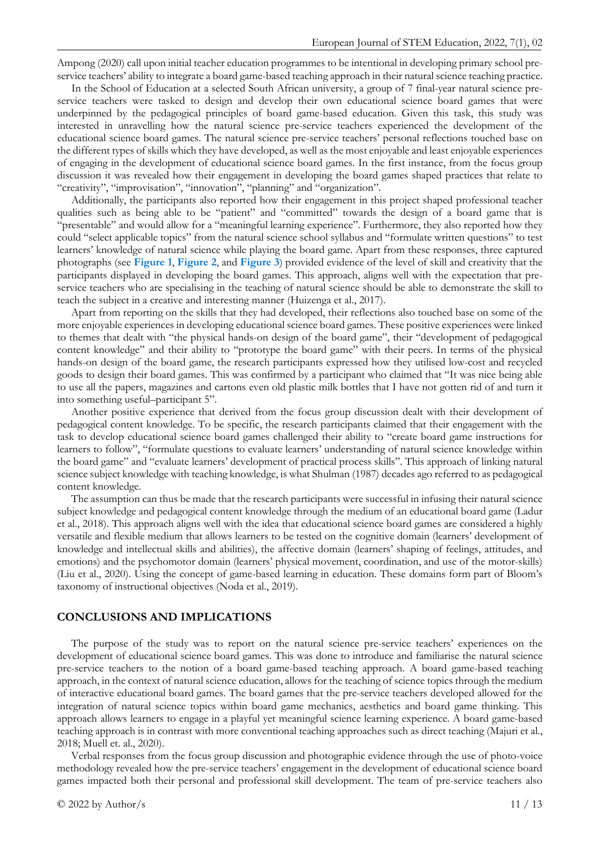Ampong (2020) call upon initial teacher education programmes to be intentional in developing primary school preservice teachers' ability to integrate a board game-based teaching approach in their natural science teaching practice.

In the School of Education at a selected South African university, a group of 7 final-year natural science preservice teachers were tasked to design and develop their own educational science board games that were underpinned by the pedagogical principles of board game-based education. Given this task, this study was interested in unravelling how the natural science pre-service teachers experienced the development of the educational science board games. The natural science pre-service teachers' personal reflections touched base on the different types of skills which they have developed, as well as the most enjoyable and least enjoyable experiences of engaging in the development of educational science board games. In the first instance, from the focus group discussion it was revealed how their engagement in developing the board games shaped practices that relate to "creativity", "improvisation", "innovation", "planning" and "organization".

Additionally, the participants also reported how their engagement in this project shaped professional teacher qualities such as being able to be "patient" and "committed" towards the design of a board game that is "presentable" and would allow for a "meaningful learning experience". Furthermore, they also reported how they could "select applicable topics" from the natural science school syllabus and "formulate written questions" to test learners' knowledge of natural science while playing the board game. Apart from these responses, three captured photographs (see **Figure 1**, **Figure 2**, and **Figure 3**) provided evidence of the level of skill and creativity that the participants displayed in developing the board games. This approach, aligns well with the expectation that preservice teachers who are specialising in the teaching of natural science should be able to demonstrate the skill to teach the subject in a creative and interesting manner (Huizenga et al., 2017).

Apart from reporting on the skills that they had developed, their reflections also touched base on some of the more enjoyable experiences in developing educational science board games. These positive experiences were linked to themes that dealt with "the physical hands-on design of the board game", their "development of pedagogical content knowledge" and their ability to "prototype the board game" with their peers. In terms of the physical hands-on design of the board game, the research participants expressed how they utilised low-cost and recycled goods to design their board games. This was confirmed by a participant who claimed that "It was nice being able to use all the papers, magazines and cartons even old plastic milk bottles that I have not gotten rid of and turn it into something useful–participant 5".

Another positive experience that derived from the focus group discussion dealt with their development of pedagogical content knowledge. To be specific, the research participants claimed that their engagement with the task to develop educational science board games challenged their ability to "create board game instructions for learners to follow", "formulate questions to evaluate learners' understanding of natural science knowledge within the board game" and "evaluate learners' development of practical process skills". This approach of linking natural science subject knowledge with teaching knowledge, is what Shulman (1987) decades ago referred to as pedagogical content knowledge.

The assumption can thus be made that the research participants were successful in infusing their natural science subject knowledge and pedagogical content knowledge through the medium of an educational board game (Ladur et al., 2018). This approach aligns well with the idea that educational science board games are considered a highly versatile and flexible medium that allows learners to be tested on the cognitive domain (learners' development of knowledge and intellectual skills and abilities), the affective domain (learners' shaping of feelings, attitudes, and emotions) and the psychomotor domain (learners' physical movement, coordination, and use of the motor-skills) (Liu et al., 2020). Using the concept of game-based learning in education. These domains form part of Bloom's taxonomy of instructional objectives (Noda et al., 2019).

#### **CONCLUSIONS AND IMPLICATIONS**

The purpose of the study was to report on the natural science pre-service teachers' experiences on the development of educational science board games. This was done to introduce and familiarise the natural science pre-service teachers to the notion of a board game-based teaching approach. A board game-based teaching approach, in the context of natural science education, allows for the teaching of science topics through the medium of interactive educational board games. The board games that the pre-service teachers developed allowed for the integration of natural science topics within board game mechanics, aesthetics and board game thinking. This approach allows learners to engage in a playful yet meaningful science learning experience. A board game-based teaching approach is in contrast with more conventional teaching approaches such as direct teaching (Majuri et al., 2018; Muell et. al., 2020).

Verbal responses from the focus group discussion and photographic evidence through the use of photo-voice methodology revealed how the pre-service teachers' engagement in the development of educational science board games impacted both their personal and professional skill development. The team of pre-service teachers also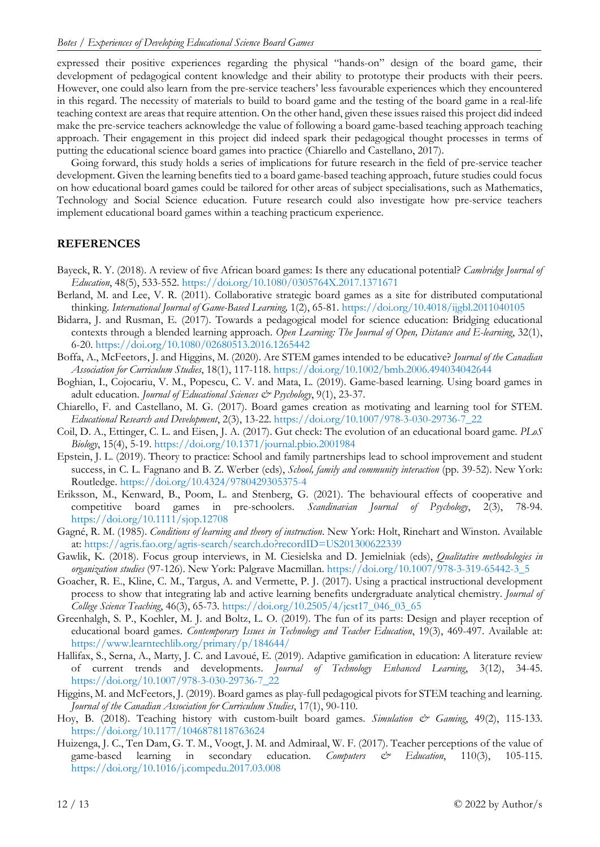expressed their positive experiences regarding the physical "hands-on" design of the board game, their development of pedagogical content knowledge and their ability to prototype their products with their peers. However, one could also learn from the pre-service teachers' less favourable experiences which they encountered in this regard. The necessity of materials to build to board game and the testing of the board game in a real-life teaching context are areas that require attention. On the other hand, given these issues raised this project did indeed make the pre-service teachers acknowledge the value of following a board game-based teaching approach teaching approach. Their engagement in this project did indeed spark their pedagogical thought processes in terms of putting the educational science board games into practice (Chiarello and Castellano, 2017).

Going forward, this study holds a series of implications for future research in the field of pre-service teacher development. Given the learning benefits tied to a board game-based teaching approach, future studies could focus on how educational board games could be tailored for other areas of subject specialisations, such as Mathematics, Technology and Social Science education. Future research could also investigate how pre-service teachers implement educational board games within a teaching practicum experience.

### **REFERENCES**

- Bayeck, R. Y. (2018). A review of five African board games: Is there any educational potential? *Cambridge Journal of Education*, 48(5), 533-552. <https://doi.org/10.1080/0305764X.2017.1371671>
- Berland, M. and Lee, V. R. (2011). Collaborative strategic board games as a site for distributed computational thinking. *International Journal of Game-Based Learning,* 1(2), 65-81. <https://doi.org/10.4018/ijgbl.2011040105>
- Bidarra, J. and Rusman, E. (2017). Towards a pedagogical model for science education: Bridging educational contexts through a blended learning approach. *Open Learning: The Journal of Open, Distance and E-learning*, 32(1), 6-20. <https://doi.org/10.1080/02680513.2016.1265442>
- Boffa, A., McFeetors, J. and Higgins, M. (2020). Are STEM games intended to be educative? *Journal of the Canadian Association for Curriculum Studies*, 18(1), 117-118. <https://doi.org/10.1002/bmb.2006.494034042644>
- Boghian, I., Cojocariu, V. M., Popescu, C. V. and Mata, L. (2019). Game-based learning. Using board games in adult education. *Journal of Educational Sciences & Psychology*, 9(1), 23-37.
- Chiarello, F. and Castellano, M. G. (2017). Board games creation as motivating and learning tool for STEM. *Educational Research and Development*, 2(3), 13-22. [https://doi.org/10.1007/978-3-030-29736-7\\_22](https://doi.org/10.1007/978-3-030-29736-7_22)
- Coil, D. A., Ettinger, C. L. and Eisen, J. A. (2017). Gut check: The evolution of an educational board game. *PLoS Biology*, 15(4), 5-19. <https://doi.org/10.1371/journal.pbio.2001984>
- Epstein, J. L. (2019). Theory to practice: School and family partnerships lead to school improvement and student success, in C. L. Fagnano and B. Z. Werber (eds), *School, family and community interaction* (pp. 39-52). New York: Routledge. <https://doi.org/10.4324/9780429305375-4>
- Eriksson, M., Kenward, B., Poom, L. and Stenberg, G. (2021). The behavioural effects of cooperative and competitive board games in pre-schoolers. *Scandinavian Journal of Psychology*, 2(3), 78-94. <https://doi.org/10.1111/sjop.12708>
- Gagné, R. M. (1985). *Conditions of learning and theory of instruction*. New York: Holt, Rinehart and Winston. Available at: <https://agris.fao.org/agris-search/search.do?recordID=US201300622339>
- Gawlik, K. (2018). Focus group interviews, in M. Ciesielska and D. Jemielniak (eds), *Qualitative methodologies in organization studies* (97-126). New York: Palgrave Macmillan. [https://doi.org/10.1007/978-3-319-65442-3\\_5](https://doi.org/10.1007/978-3-319-65442-3_5)
- Goacher, R. E., Kline, C. M., Targus, A. and Vermette, P. J. (2017). Using a practical instructional development process to show that integrating lab and active learning benefits undergraduate analytical chemistry. *Journal of College Science Teaching*, 46(3), 65-73. [https://doi.org/10.2505/4/jcst17\\_046\\_03\\_65](https://doi.org/10.2505/4/jcst17_046_03_65)
- Greenhalgh, S. P., Koehler, M. J. and Boltz, L. O. (2019). The fun of its parts: Design and player reception of educational board games. *Contemporary Issues in Technology and Teacher Education*, 19(3), 469-497. Available at: <https://www.learntechlib.org/primary/p/184644/>
- Hallifax, S., Serna, A., Marty, J. C. and Lavoué, E. (2019). Adaptive gamification in education: A literature review of current trends and developments. *Journal of Technology Enhanced Learning*, 3(12), 34-45. [https://doi.org/10.1007/978-3-030-29736-7\\_22](https://doi.org/10.1007/978-3-030-29736-7_22)
- Higgins, M. and McFeetors, J. (2019). Board games as play-full pedagogical pivots for STEM teaching and learning. *Journal of the Canadian Association for Curriculum Studies*, 17(1), 90-110.
- Hoy, B. (2018). Teaching history with custom-built board games. *Simulation*  $\breve{c}$  *Gaming*, 49(2), 115-133. [https://doi.org/10.1177/1046878118763624](https://doi.org/10.1177%2F1046878118763624)
- Huizenga, J. C., Ten Dam, G. T. M., Voogt, J. M. and Admiraal, W. F. (2017). Teacher perceptions of the value of game-based learning in secondary education. *Computers & Education*, 110(3), 105-115. <https://doi.org/10.1016/j.compedu.2017.03.008>